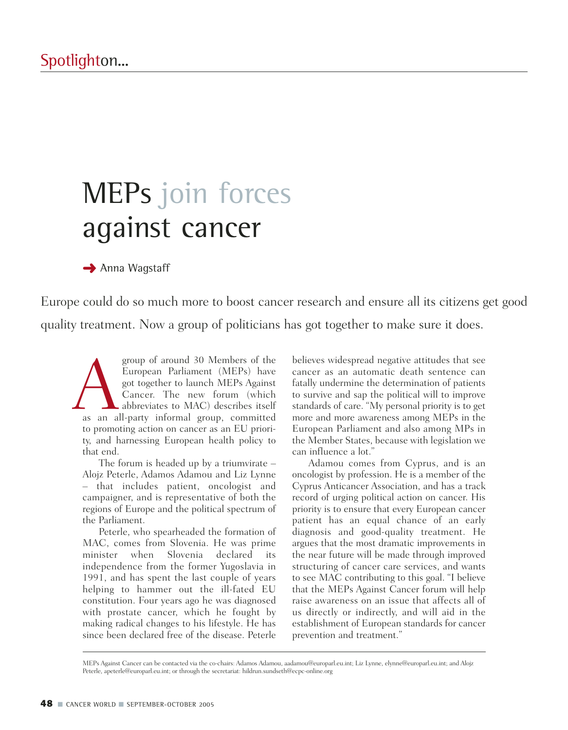## MEPs join forces against cancer

**→ Anna Wagstaff** 

Europe could do so much more to boost cancer research and ensure all its citizens get good quality treatment. Now a group of politicians has got together to make sure it does.

group of around 30 Members of the<br>
European Parliament (MEPs) have<br>
got together to launch MEPs Against<br>
Cancer. The new forum (which<br>
abbreviates to MAC) describes itself<br>
as an all-party informal group, committed European Parliament (MEPs) have got together to launch MEPs Against Cancer. The new forum (which abbreviates to MAC) describes itself to promoting action on cancer as an EU priority, and harnessing European health policy to that end.

The forum is headed up by a triumvirate – Alojz Peterle, Adamos Adamou and Liz Lynne – that includes patient, oncologist and campaigner, and is representative of both the regions of Europe and the political spectrum of the Parliament.

Peterle, who spearheaded the formation of MAC, comes from Slovenia. He was prime minister when Slovenia declared its independence from the former Yugoslavia in 1991, and has spent the last couple of years helping to hammer out the ill-fated EU constitution. Four years ago he was diagnosed with prostate cancer, which he fought by making radical changes to his lifestyle. He has since been declared free of the disease. Peterle

believes widespread negative attitudes that see cancer as an automatic death sentence can fatally undermine the determination of patients to survive and sap the political will to improve standards of care. "My personal priority is to get more and more awareness among MEPs in the European Parliament and also among MPs in the Member States, because with legislation we can influence a lot."

Adamou comes from Cyprus, and is an oncologist by profession. He is a member of the Cyprus Anticancer Association, and has a track record of urging political action on cancer. His priority is to ensure that every European cancer patient has an equal chance of an early diagnosis and good-quality treatment. He argues that the most dramatic improvements in the near future will be made through improved structuring of cancer care services, and wants to see MAC contributing to this goal. "I believe that the MEPs Against Cancer forum will help raise awareness on an issue that affects all of us directly or indirectly, and will aid in the establishment of European standards for cancer prevention and treatment."

MEPs Against Cancer can be contacted via the co-chairs: Adamos Adamou, aadamou@europarl.eu.int; Liz Lynne, elynne@europarl.eu.int; and Alojz Peterle, apeterle@europarl.eu.int; or through the secretariat: hildrun.sundseth@ecpc-online.org